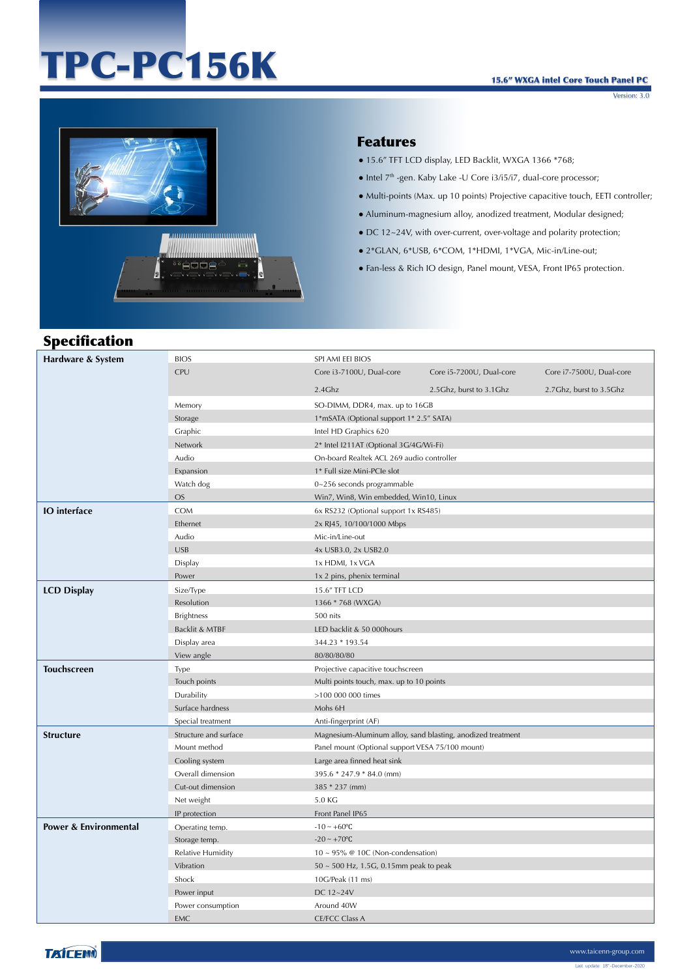# TPC-PC156K

#### 15.6" WXGA intel Core Touch Panel PC

Version: 3.0



## Features

- 15.6" TFT LCD display, LED Backlit, WXGA 1366 \*768;
- $\bullet$  Intel  $7<sup>th</sup>$ -gen. Kaby Lake -U Core i3/i5/i7, dual-core processor;
- Multi-points (Max. up 10 points) Projective capacitive touch, EETI controller;
- Aluminum-magnesium alloy, anodized treatment, Modular designed;
- DC 12~24V, with over-current, over-voltage and polarity protection;
- 2\*GLAN, 6\*USB, 6\*COM, 1\*HDMI, 1\*VGA, Mic-in/Line-out;
- Fan-less & Rich IO design, Panel mount, VESA, Front IP65 protection.

# Specification

| Hardware & System     | <b>BIOS</b>           | SPI AMI EEI BIOS                                            |                          |                          |
|-----------------------|-----------------------|-------------------------------------------------------------|--------------------------|--------------------------|
|                       | CPU                   | Core i3-7100U, Dual-core                                    | Core i5-7200U, Dual-core | Core i7-7500U, Dual-core |
|                       |                       | $2.4$ Ghz                                                   | 2.5Ghz, burst to 3.1Ghz  | 2.7Ghz, burst to 3.5Ghz  |
|                       | Memory                | SO-DIMM, DDR4, max. up to 16GB                              |                          |                          |
|                       | Storage               | 1*mSATA (Optional support 1* 2.5" SATA)                     |                          |                          |
|                       | Graphic               | Intel HD Graphics 620                                       |                          |                          |
|                       | Network               | 2* Intel I211AT (Optional 3G/4G/Wi-Fi)                      |                          |                          |
|                       | Audio                 | On-board Realtek ACL 269 audio controller                   |                          |                          |
|                       | Expansion             | 1* Full size Mini-PCIe slot                                 |                          |                          |
|                       | Watch dog             | 0~256 seconds programmable                                  |                          |                          |
|                       | <b>OS</b>             | Win7, Win8, Win embedded, Win10, Linux                      |                          |                          |
| <b>IO</b> interface   | <b>COM</b>            | 6x RS232 (Optional support 1x RS485)                        |                          |                          |
|                       | Ethernet              | 2x RJ45, 10/100/1000 Mbps                                   |                          |                          |
|                       | Audio                 | Mic-in/Line-out                                             |                          |                          |
|                       | <b>USB</b>            | 4x USB3.0, 2x USB2.0                                        |                          |                          |
|                       | Display               | 1x HDMI, 1x VGA                                             |                          |                          |
|                       | Power                 | 1x 2 pins, phenix terminal                                  |                          |                          |
| <b>LCD Display</b>    | Size/Type             | 15.6" TFT LCD                                               |                          |                          |
|                       | Resolution            | 1366 * 768 (WXGA)                                           |                          |                          |
|                       | <b>Brightness</b>     | 500 nits                                                    |                          |                          |
|                       | Backlit & MTBF        | LED backlit & 50 000hours                                   |                          |                          |
|                       | Display area          | 344.23 * 193.54                                             |                          |                          |
|                       | View angle            | 80/80/80/80                                                 |                          |                          |
| <b>Touchscreen</b>    | Type                  | Projective capacitive touchscreen                           |                          |                          |
|                       | Touch points          | Multi points touch, max. up to 10 points                    |                          |                          |
|                       | Durability            | >100 000 000 times                                          |                          |                          |
|                       | Surface hardness      | Mohs 6H                                                     |                          |                          |
|                       | Special treatment     | Anti-fingerprint (AF)                                       |                          |                          |
| <b>Structure</b>      | Structure and surface | Magnesium-Aluminum alloy, sand blasting, anodized treatment |                          |                          |
|                       | Mount method          | Panel mount (Optional support VESA 75/100 mount)            |                          |                          |
|                       | Cooling system        | Large area finned heat sink                                 |                          |                          |
|                       | Overall dimension     | 395.6 * 247.9 * 84.0 (mm)                                   |                          |                          |
|                       | Cut-out dimension     | 385 * 237 (mm)                                              |                          |                          |
|                       | Net weight            | 5.0 KG                                                      |                          |                          |
|                       | IP protection         | Front Panel IP65                                            |                          |                          |
| Power & Environmental | Operating temp.       | $-10 - +60$ °C                                              |                          |                          |
|                       | Storage temp.         | $-20 \sim +70$ °C                                           |                          |                          |
|                       | Relative Humidity     | $10 \sim 95\%$ @ 10C (Non-condensation)                     |                          |                          |
|                       | Vibration             | 50 ~ 500 Hz, 1.5G, 0.15mm peak to peak                      |                          |                          |
|                       | Shock                 | 10G/Peak (11 ms)                                            |                          |                          |
|                       | Power input           | DC 12~24V                                                   |                          |                          |
|                       | Power consumption     | Around 40W                                                  |                          |                          |
|                       | <b>EMC</b>            | <b>CE/FCC Class A</b>                                       |                          |                          |